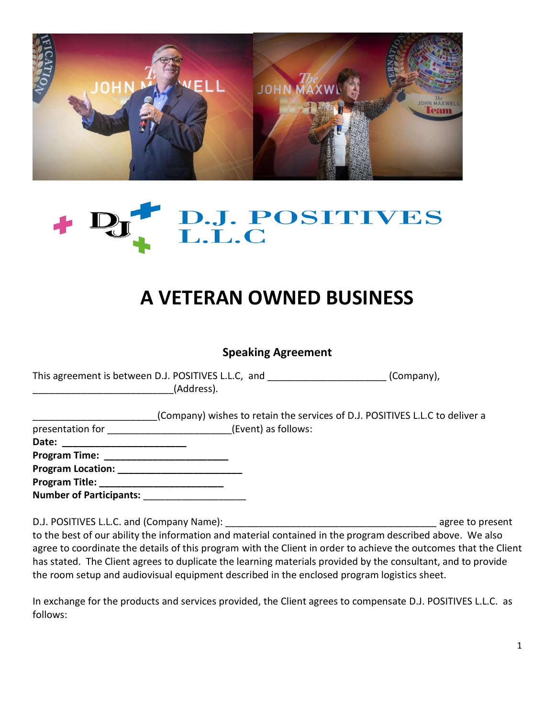



## **A VETERAN OWNED BUSINESS**

## **Speaking Agreement**

| This agreement is between D.J. POSITIVES L.L.C, and | (Company), |
|-----------------------------------------------------|------------|
| (Address).                                          |            |

|                      | (Company) wishes to retain the services of D.J. POSITIVES L.L.C to deliver a |
|----------------------|------------------------------------------------------------------------------|
| presentation for     | (Event) as follows:                                                          |
| Date:                |                                                                              |
| <b>Program Time:</b> |                                                                              |
| Drogram Location:    |                                                                              |

**Program Location: \_\_\_\_\_\_\_\_\_\_\_\_\_\_\_\_\_\_\_\_\_\_\_ Program Title: \_\_\_\_\_\_\_\_\_\_\_\_\_\_\_\_\_\_\_\_\_\_\_ Number of Participants:** \_\_\_\_\_\_\_\_\_\_\_\_\_\_\_\_\_\_\_

D.J. POSITIVES L.L.C. and (Company Name): \_\_\_\_\_\_\_\_\_\_\_\_\_\_\_\_\_\_\_\_\_\_\_\_\_\_\_\_\_\_\_\_\_\_\_\_\_\_\_ agree to present to the best of our ability the information and material contained in the program described above. We also agree to coordinate the details of this program with the Client in order to achieve the outcomes that the Client has stated. The Client agrees to duplicate the learning materials provided by the consultant, and to provide the room setup and audiovisual equipment described in the enclosed program logistics sheet.

In exchange for the products and services provided, the Client agrees to compensate D.J. POSITIVES L.L.C. as follows: